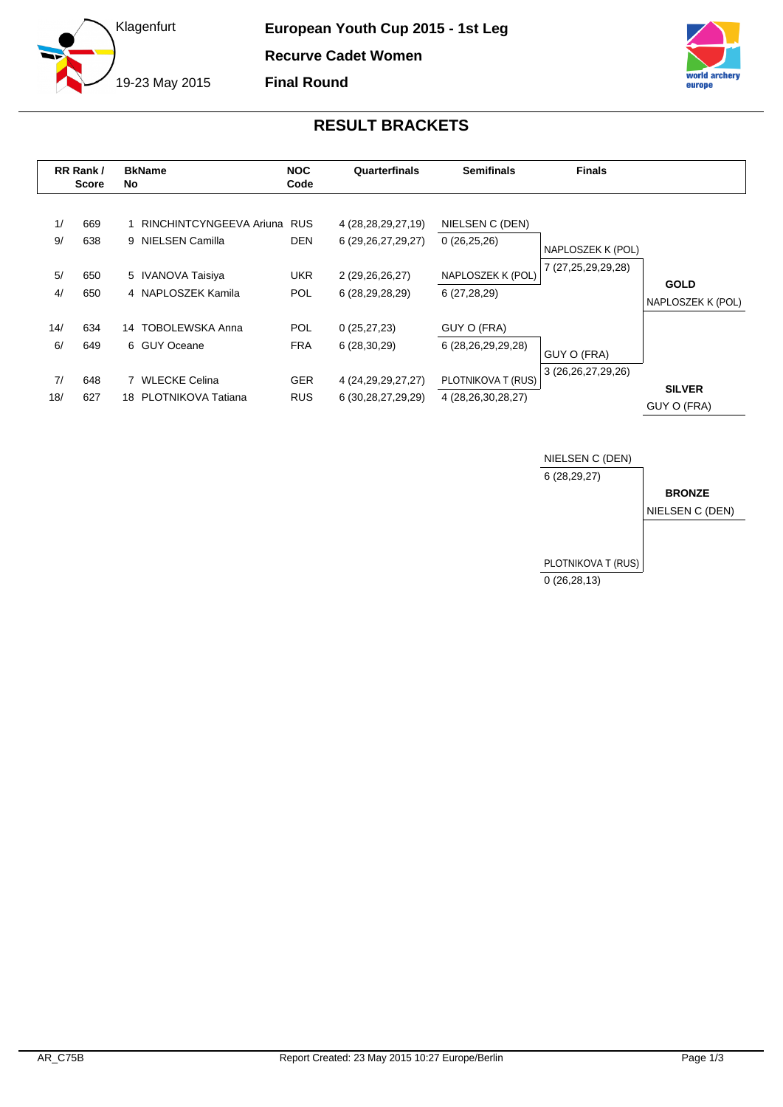



## **RESULT BRACKETS**

|           | RR Rank /<br><b>Score</b> | No. | <b>BkName</b>                                    | <b>NOC</b><br>Code       | Quarterfinals                                    | <b>Semifinals</b>                                   | <b>Finals</b>                           |                                  |
|-----------|---------------------------|-----|--------------------------------------------------|--------------------------|--------------------------------------------------|-----------------------------------------------------|-----------------------------------------|----------------------------------|
| 1/<br>9/  | 669<br>638                |     | RINCHINTCYNGEEVA Ariuna RUS<br>9 NIELSEN Camilla | <b>DEN</b>               | 4 (28, 28, 29, 27, 19)<br>6 (29, 26, 27, 29, 27) | NIELSEN C (DEN)<br>0(26,25,26)<br>NAPLOSZEK K (POL) | NAPLOSZEK K (POL)<br>7 (27,25,29,29,28) |                                  |
| 5/<br>4/  | 650<br>650                |     | 5 IVANOVA Taisiya<br>4 NAPLOSZEK Kamila          | UKR.<br><b>POL</b>       | 2 (29,26,26,27)<br>6 (28,29,28,29)               | 6 (27,28,29)                                        |                                         | <b>GOLD</b><br>NAPLOSZEK K (POL) |
| 14/<br>6/ | 634<br>649                |     | 14 TOBOLEWSKA Anna<br>6 GUY Oceane               | <b>POL</b><br><b>FRA</b> | 0(25, 27, 23)<br>6(28, 30, 29)                   | GUY O (FRA)<br>6 (28,26,29,29,28)                   | GUY O (FRA)                             |                                  |
| 7/<br>18/ | 648<br>627                |     | <b>WLECKE Celina</b><br>18 PLOTNIKOVA Tatiana    | <b>GER</b><br><b>RUS</b> | 4 (24, 29, 29, 27, 27)<br>6 (30, 28, 27, 29, 29) | PLOTNIKOVA T (RUS)<br>4 (28,26,30,28,27)            | 3 (26, 26, 27, 29, 26)                  | <b>SILVER</b><br>GUY O (FRA)     |

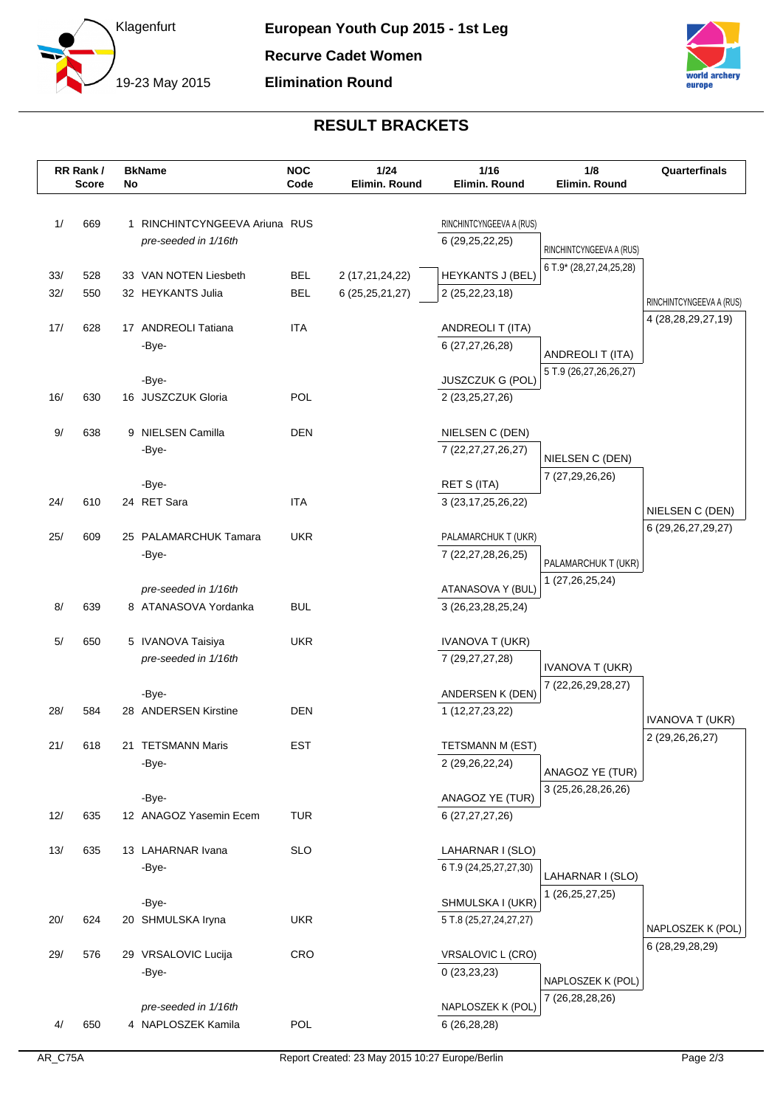



## **RESULT BRACKETS**

|            | RR Rank/<br><b>Score</b> | No | <b>BkName</b>                                | <b>NOC</b><br>Code       | 1/24<br>Elimin. Round                 | 1/16<br>Elimin, Round                         | 1/8<br>Elimin. Round     | Quarterfinals                        |
|------------|--------------------------|----|----------------------------------------------|--------------------------|---------------------------------------|-----------------------------------------------|--------------------------|--------------------------------------|
|            |                          |    |                                              |                          |                                       |                                               |                          |                                      |
| 1/         | 669                      |    | 1 RINCHINTCYNGEEVA Ariuna RUS                |                          |                                       | RINCHINTCYNGEEVA A (RUS)                      |                          |                                      |
|            |                          |    | pre-seeded in 1/16th                         |                          |                                       | 6 (29, 25, 22, 25)                            | RINCHINTCYNGEEVA A (RUS) |                                      |
|            |                          |    |                                              |                          |                                       |                                               | 6 T.9* (28,27,24,25,28)  |                                      |
| 33/<br>32/ | 528<br>550               |    | 33 VAN NOTEN Liesbeth<br>32 HEYKANTS Julia   | <b>BEL</b><br><b>BEL</b> | 2 (17,21,24,22)<br>6 (25, 25, 21, 27) | <b>HEYKANTS J (BEL)</b><br>2 (25, 22, 23, 18) |                          |                                      |
|            |                          |    |                                              |                          |                                       |                                               |                          | RINCHINTCYNGEEVA A (RUS)             |
| 17/        | 628                      |    | 17 ANDREOLI Tatiana                          | <b>ITA</b>               |                                       | ANDREOLI T (ITA)                              |                          | 4 (28,28,29,27,19)                   |
|            |                          |    | -Bye-                                        |                          |                                       | 6 (27,27,26,28)                               | ANDREOLI T (ITA)         |                                      |
|            |                          |    |                                              |                          |                                       |                                               | 5 T.9 (26,27,26,26,27)   |                                      |
| 16/        | 630                      |    | -Bye-<br>16 JUSZCZUK Gloria                  | POL                      |                                       | JUSZCZUK G (POL)<br>2 (23, 25, 27, 26)        |                          |                                      |
|            |                          |    |                                              |                          |                                       |                                               |                          |                                      |
| $9/$       | 638                      |    | 9 NIELSEN Camilla                            | DEN                      |                                       | NIELSEN C (DEN)                               |                          |                                      |
|            |                          |    | -Bye-                                        |                          |                                       | 7 (22, 27, 27, 26, 27)                        | NIELSEN C (DEN)          |                                      |
|            |                          |    |                                              |                          |                                       |                                               | 7 (27,29,26,26)          |                                      |
| 24/        | 610                      |    | -Bye-<br>24 RET Sara                         | <b>ITA</b>               |                                       | <b>RET S (ITA)</b><br>3 (23, 17, 25, 26, 22)  |                          |                                      |
|            |                          |    |                                              |                          |                                       |                                               |                          | NIELSEN C (DEN)                      |
| 25/        | 609                      |    | 25 PALAMARCHUK Tamara                        | <b>UKR</b>               |                                       | PALAMARCHUK T (UKR)                           |                          | 6 (29, 26, 27, 29, 27)               |
|            |                          |    | -Bye-                                        |                          |                                       | 7 (22,27,28,26,25)                            | PALAMARCHUK T (UKR)      |                                      |
|            |                          |    |                                              |                          |                                       |                                               | 1 (27,26,25,24)          |                                      |
| 8/         | 639                      |    | pre-seeded in 1/16th<br>8 ATANASOVA Yordanka | <b>BUL</b>               |                                       | ATANASOVA Y (BUL)<br>3 (26, 23, 28, 25, 24)   |                          |                                      |
|            |                          |    |                                              |                          |                                       |                                               |                          |                                      |
| 5/         | 650                      |    | 5 IVANOVA Taisiya                            | <b>UKR</b>               |                                       | <b>IVANOVA T (UKR)</b>                        |                          |                                      |
|            |                          |    | pre-seeded in 1/16th                         |                          |                                       | 7 (29, 27, 27, 28)                            | <b>IVANOVA T (UKR)</b>   |                                      |
|            |                          |    | -Bye-                                        |                          |                                       | ANDERSEN K (DEN)                              | 7 (22,26,29,28,27)       |                                      |
| 28/        | 584                      |    | 28 ANDERSEN Kirstine                         | <b>DEN</b>               |                                       | 1 (12,27,23,22)                               |                          |                                      |
|            |                          |    |                                              |                          |                                       |                                               |                          | <b>IVANOVA T (UKR)</b>               |
| 21/        | 618                      |    | 21 TETSMANN Maris                            | <b>EST</b>               |                                       | TETSMANN M (EST)                              |                          | 2 (29, 26, 26, 27)                   |
|            |                          |    | -Bye-                                        |                          |                                       | 2 (29, 26, 22, 24)                            | ANAGOZ YE (TUR)          |                                      |
|            |                          |    | -Bye-                                        |                          |                                       | ANAGOZ YE (TUR)                               | 3 (25,26,28,26,26)       |                                      |
| 12/        | 635                      |    | 12 ANAGOZ Yasemin Ecem                       | <b>TUR</b>               |                                       | 6 (27,27,27,26)                               |                          |                                      |
|            |                          |    |                                              |                          |                                       |                                               |                          |                                      |
| 13/        | 635                      |    | 13 LAHARNAR Ivana                            | <b>SLO</b>               |                                       | LAHARNAR I (SLO)                              |                          |                                      |
|            |                          |    | -Bye-                                        |                          |                                       | 6 T.9 (24, 25, 27, 27, 30)                    | LAHARNAR I (SLO)         |                                      |
|            |                          |    | -Bye-                                        |                          |                                       | SHMULSKA I (UKR)                              | 1 (26, 25, 27, 25)       |                                      |
| 20/        | 624                      |    | 20 SHMULSKA Iryna                            | <b>UKR</b>               |                                       | 5 T.8 (25,27,24,27,27)                        |                          |                                      |
|            |                          |    |                                              |                          |                                       |                                               |                          | NAPLOSZEK K (POL)<br>6 (28,29,28,29) |
| 29/        | 576                      |    | 29 VRSALOVIC Lucija                          | <b>CRO</b>               |                                       | VRSALOVIC L (CRO)                             |                          |                                      |
|            |                          |    | -Bye-                                        |                          |                                       | 0(23,23,23)                                   | NAPLOSZEK K (POL)        |                                      |
|            |                          |    | pre-seeded in 1/16th                         |                          |                                       | NAPLOSZEK K (POL)                             | 7 (26,28,28,26)          |                                      |
| 4/         | 650                      |    | 4 NAPLOSZEK Kamila                           | POL                      |                                       | 6 (26,28,28)                                  |                          |                                      |